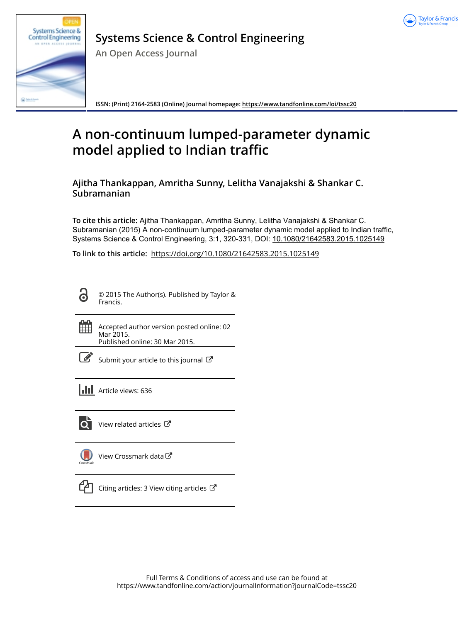



# **Systems Science & Control Engineering**

**An Open Access Journal**

**ISSN: (Print) 2164-2583 (Online) Journal homepage:<https://www.tandfonline.com/loi/tssc20>**

# **A non-continuum lumped-parameter dynamic model applied to Indian traffic**

**Ajitha Thankappan, Amritha Sunny, Lelitha Vanajakshi & Shankar C. Subramanian**

**To cite this article:** Ajitha Thankappan, Amritha Sunny, Lelitha Vanajakshi & Shankar C. Subramanian (2015) A non-continuum lumped-parameter dynamic model applied to Indian traffic, Systems Science & Control Engineering, 3:1, 320-331, DOI: [10.1080/21642583.2015.1025149](https://www.tandfonline.com/action/showCitFormats?doi=10.1080/21642583.2015.1025149)

**To link to this article:** <https://doi.org/10.1080/21642583.2015.1025149>

© 2015 The Author(s). Published by Taylor & Francis.

[Submit your article to this journal](https://www.tandfonline.com/action/authorSubmission?journalCode=tssc20&show=instructions)  $\mathbb{Z}$ 

**III** Article views: 636



[View related articles](https://www.tandfonline.com/doi/mlt/10.1080/21642583.2015.1025149)  $\mathbb{Z}$ 

[View Crossmark data](http://crossmark.crossref.org/dialog/?doi=10.1080/21642583.2015.1025149&domain=pdf&date_stamp=2015-03-02)



[Citing articles: 3 View citing articles](https://www.tandfonline.com/doi/citedby/10.1080/21642583.2015.1025149#tabModule)  $\mathbb{Z}$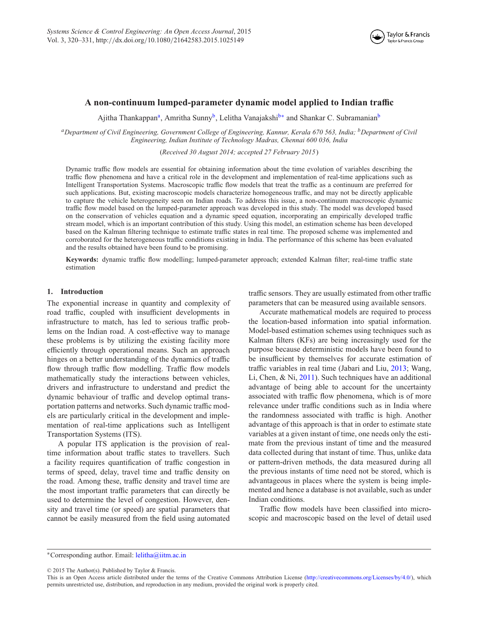<span id="page-1-1"></span>

# **A non-continuum lumped-parameter dynamic model applied to Indian traffic**

Ajitha Thankappan<sup>a</sup>, Amritha Sunny<sup>b</sup>, Lelitha Vanajakshi<sup>b∗</sup> and Shankar C. Subramanian<sup>b</sup>

<span id="page-1-0"></span>*aDepartment of Civil Engineering, Government College of Engineering, Kannur, Kerala 670 563, India; bDepartment of Civil Engineering, Indian Institute of Technology Madras, Chennai 600 036, India*

(*Received 30 August 2014; accepted 27 February 2015*)

Dynamic traffic flow models are essential for obtaining information about the time evolution of variables describing the traffic flow phenomena and have a critical role in the development and implementation of real-time applications such as Intelligent Transportation Systems. Macroscopic traffic flow models that treat the traffic as a continuum are preferred for such applications. But, existing macroscopic models characterize homogeneous traffic, and may not be directly applicable to capture the vehicle heterogeneity seen on Indian roads. To address this issue, a non-continuum macroscopic dynamic traffic flow model based on the lumped-parameter approach was developed in this study. The model was developed based on the conservation of vehicles equation and a dynamic speed equation, incorporating an empirically developed traffic stream model, which is an important contribution of this study. Using this model, an estimation scheme has been developed based on the Kalman filtering technique to estimate traffic states in real time. The proposed scheme was implemented and corroborated for the heterogeneous traffic conditions existing in India. The performance of this scheme has been evaluated and the results obtained have been found to be promising.

**Keywords:** dynamic traffic flow modelling; lumped-parameter approach; extended Kalman filter; real-time traffic state estimation

#### **1. Introduction**

The exponential increase in quantity and complexity of road traffic, coupled with insufficient developments in infrastructure to match, has led to serious traffic problems on the Indian road. A cost-effective way to manage these problems is by utilizing the existing facility more efficiently through operational means. Such an approach hinges on a better understanding of the dynamics of traffic flow through traffic flow modelling. Traffic flow models mathematically study the interactions between vehicles, drivers and infrastructure to understand and predict the dynamic behaviour of traffic and develop optimal transportation patterns and networks. Such dynamic traffic models are particularly critical in the development and implementation of real-time applications such as Intelligent Transportation Systems (ITS).

A popular ITS application is the provision of realtime information about traffic states to travellers. Such a facility requires quantification of traffic congestion in terms of speed, delay, travel time and traffic density on the road. Among these, traffic density and travel time are the most important traffic parameters that can directly be used to determine the level of congestion. However, density and travel time (or speed) are spatial parameters that cannot be easily measured from the field using automated traffic sensors. They are usually estimated from other traffic parameters that can be measured using available sensors.

Accurate mathematical models are required to process the location-based information into spatial information. Model-based estimation schemes using techniques such as Kalman filters (KFs) are being increasingly used for the purpose because deterministic models have been found to be insufficient by themselves for accurate estimation of traffic variables in real time (Jabari and Liu, [2013;](#page-11-0) Wang, Li, Chen, & Ni, [2011\)](#page-12-0). Such techniques have an additional advantage of being able to account for the uncertainty associated with traffic flow phenomena, which is of more relevance under traffic conditions such as in India where the randomness associated with traffic is high. Another advantage of this approach is that in order to estimate state variables at a given instant of time, one needs only the estimate from the previous instant of time and the measured data collected during that instant of time. Thus, unlike data or pattern-driven methods, the data measured during all the previous instants of time need not be stored, which is advantageous in places where the system is being implemented and hence a database is not available, such as under Indian conditions.

Traffic flow models have been classified into microscopic and macroscopic based on the level of detail used

∗Corresponding author. Email: [lelitha@iitm.ac.in](mailto:lelitha@iitm.ac.in)

© 2015 The Author(s). Published by Taylor & Francis.

This is an Open Access article distributed under the terms of the Creative Commons Attribution License [\(http://creativecommons.org/Licenses/by/4.0/\)](http://creativecommons.org/Licenses/by/4.0/), which permits unrestricted use, distribution, and reproduction in any medium, provided the original work is properly cited.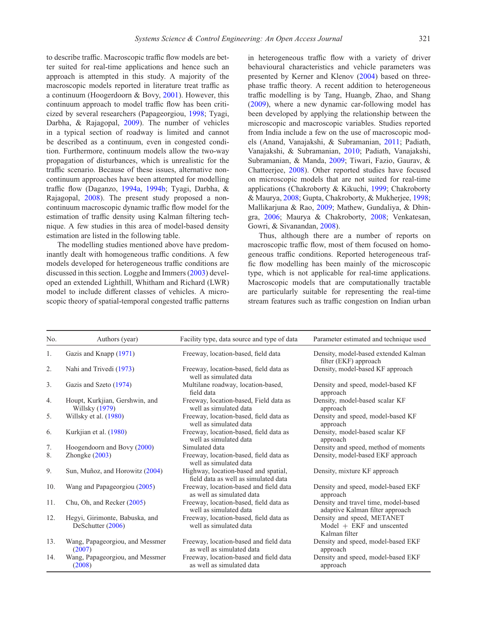to describe traffic. Macroscopic traffic flow models are better suited for real-time applications and hence such an approach is attempted in this study. A majority of the macroscopic models reported in literature treat traffic as a continuum (Hoogerdoorn & Bovy, [2001\)](#page-11-1). However, this continuum approach to model traffic flow has been criticized by several researchers (Papageorgiou, [1998;](#page-12-1) Tyagi, Darbha, & Rajagopal, [2009\)](#page-12-2). The number of vehicles in a typical section of roadway is limited and cannot be described as a continuum, even in congested condition. Furthermore, continuum models allow the two-way propagation of disturbances, which is unrealistic for the traffic scenario. Because of these issues, alternative noncontinuum approaches have been attempted for modelling traffic flow (Daganzo, [1994a,](#page-11-2) [1994b;](#page-11-3) Tyagi, Darbha, & Rajagopal, [2008\)](#page-12-3). The present study proposed a noncontinuum macroscopic dynamic traffic flow model for the estimation of traffic density using Kalman filtering technique. A few studies in this area of model-based density estimation are listed in the following table.

The modelling studies mentioned above have predominantly dealt with homogeneous traffic conditions. A few models developed for heterogeneous traffic conditions are discussed in this section. Logghe and Immers [\(2003\)](#page-11-4) developed an extended Lighthill, Whitham and Richard (LWR) model to include different classes of vehicles. A microscopic theory of spatial-temporal congested traffic patterns in heterogeneous traffic flow with a variety of driver behavioural characteristics and vehicle parameters was presented by Kerner and Klenov [\(2004\)](#page-11-5) based on threephase traffic theory. A recent addition to heterogeneous traffic modelling is by Tang, Huangb, Zhao, and Shang [\(2009\)](#page-12-4), where a new dynamic car-following model has been developed by applying the relationship between the microscopic and macroscopic variables. Studies reported from India include a few on the use of macroscopic models (Anand, Vanajakshi, & Subramanian, [2011;](#page-11-6) Padiath, Vanajakshi, & Subramanian, [2010;](#page-12-5) Padiath, Vanajakshi, Subramanian, & Manda, [2009;](#page-11-7) Tiwari, Fazio, Gaurav, & Chatteerjee, [2008\)](#page-12-6). Other reported studies have focused on microscopic models that are not suited for real-time applications (Chakroborty & Kikuchi, [1999;](#page-11-8) Chakroborty & Maurya, [2008;](#page-11-9) Gupta, Chakroborty, & Mukherjee, [1998;](#page-11-10) Mallikarjuna & Rao, [2009;](#page-11-11) Mathew, Gundaliya, & Dhingra, [2006;](#page-11-12) Maurya & Chakroborty, [2008;](#page-11-13) Venkatesan, Gowri, & Sivanandan, [2008\)](#page-12-7).

Thus, although there are a number of reports on macroscopic traffic flow, most of them focused on homogeneous traffic conditions. Reported heterogeneous traffic flow modelling has been mainly of the microscopic type, which is not applicable for real-time applications. Macroscopic models that are computationally tractable are particularly suitable for representing the real-time stream features such as traffic congestion on Indian urban

| No. | Authors (year)                                      | Facility type, data source and type of data                                  | Parameter estimated and technique used                                     |
|-----|-----------------------------------------------------|------------------------------------------------------------------------------|----------------------------------------------------------------------------|
| 1.  | Gazis and Knapp (1971)                              | Freeway, location-based, field data                                          | Density, model-based extended Kalman<br>filter (EKF) approach              |
| 2.  | Nahi and Trivedi (1973)                             | Freeway, location-based, field data as<br>well as simulated data             | Density, model-based KF approach                                           |
| 3.  | Gazis and Szeto (1974)                              | Multilane roadway, location-based,<br>field data                             | Density and speed, model-based KF<br>approach                              |
| 4.  | Houpt, Kurkjian, Gershwin, and<br>Willsky (1979)    | Freeway, location-based, Field data as<br>well as simulated data             | Density, model-based scalar KF<br>approach                                 |
| 5.  | Willsky et al. (1980)                               | Freeway, location-based, field data as<br>well as simulated data             | Density and speed, model-based KF<br>approach                              |
| 6.  | Kurkjian et al. (1980)                              | Freeway, location-based, field data as<br>well as simulated data             | Density, model-based scalar KF<br>approach                                 |
| 7.  | Hoogendoorn and Bovy (2000)                         | Simulated data                                                               | Density and speed, method of moments                                       |
| 8.  | Zhongke $(2003)$                                    | Freeway, location-based, field data as<br>well as simulated data             | Density, model-based EKF approach                                          |
| 9.  | Sun, Muñoz, and Horowitz (2004)                     | Highway, location-based and spatial,<br>field data as well as simulated data | Density, mixture KF approach                                               |
| 10. | Wang and Papageorgiou (2005)                        | Freeway, location-based and field data<br>as well as simulated data          | Density and speed, model-based EKF<br>approach                             |
| 11. | Chu, Oh, and Recker (2005)                          | Freeway, location-based, field data as<br>well as simulated data             | Density and travel time, model-based<br>adaptive Kalman filter approach    |
| 12. | Hegyi, Girimonte, Babuska, and<br>DeSchutter (2006) | Freeway, location-based, field data as<br>well as simulated data             | Density and speed, METANET<br>$Model + EKF$ and unscented<br>Kalman filter |
| 13. | Wang, Papageorgiou, and Messmer<br>(2007)           | Freeway, location-based and field data<br>as well as simulated data          | Density and speed, model-based EKF<br>approach                             |
| 14. | Wang, Papageorgiou, and Messmer<br>(2008)           | Freeway, location-based and field data<br>as well as simulated data          | Density and speed, model-based EKF<br>approach                             |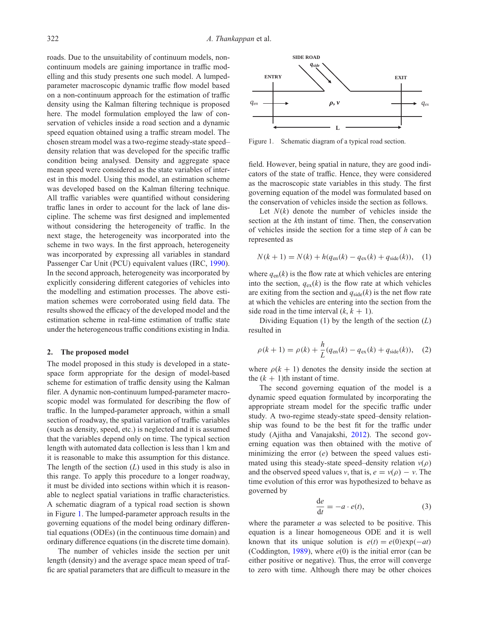roads. Due to the unsuitability of continuum models, noncontinuum models are gaining importance in traffic modelling and this study presents one such model. A lumpedparameter macroscopic dynamic traffic flow model based on a non-continuum approach for the estimation of traffic density using the Kalman filtering technique is proposed here. The model formulation employed the law of conservation of vehicles inside a road section and a dynamic speed equation obtained using a traffic stream model. The chosen stream model was a two-regime steady-state speed– density relation that was developed for the specific traffic condition being analysed. Density and aggregate space mean speed were considered as the state variables of interest in this model. Using this model, an estimation scheme was developed based on the Kalman filtering technique. All traffic variables were quantified without considering traffic lanes in order to account for the lack of lane discipline. The scheme was first designed and implemented without considering the heterogeneity of traffic. In the next stage, the heterogeneity was incorporated into the scheme in two ways. In the first approach, heterogeneity was incorporated by expressing all variables in standard Passenger Car Unit (PCU) equivalent values (IRC, [1990\)](#page-11-22). In the second approach, heterogeneity was incorporated by explicitly considering different categories of vehicles into the modelling and estimation processes. The above estimation schemes were corroborated using field data. The results showed the efficacy of the developed model and the estimation scheme in real-time estimation of traffic state under the heterogeneous traffic conditions existing in India.

## **2. The proposed model**

The model proposed in this study is developed in a statespace form appropriate for the design of model-based scheme for estimation of traffic density using the Kalman filer. A dynamic non-continuum lumped-parameter macroscopic model was formulated for describing the flow of traffic. In the lumped-parameter approach, within a small section of roadway, the spatial variation of traffic variables (such as density, speed, etc.) is neglected and it is assumed that the variables depend only on time. The typical section length with automated data collection is less than 1 km and it is reasonable to make this assumption for this distance. The length of the section (*L*) used in this study is also in this range. To apply this procedure to a longer roadway, it must be divided into sections within which it is reasonable to neglect spatial variations in traffic characteristics. A schematic diagram of a typical road section is shown in Figure [1.](#page-3-0) The lumped-parameter approach results in the governing equations of the model being ordinary differential equations (ODEs) (in the continuous time domain) and ordinary difference equations (in the discrete time domain).

The number of vehicles inside the section per unit length (density) and the average space mean speed of traffic are spatial parameters that are difficult to measure in the



<span id="page-3-0"></span>Figure 1. Schematic diagram of a typical road section.

field. However, being spatial in nature, they are good indicators of the state of traffic. Hence, they were considered as the macroscopic state variables in this study. The first governing equation of the model was formulated based on the conservation of vehicles inside the section as follows.

Let  $N(k)$  denote the number of vehicles inside the section at the *k*th instant of time. Then, the conservation of vehicles inside the section for a time step of *h* can be represented as

$$
N(k+1) = N(k) + h(q_{en}(k) - q_{ex}(k) + q_{side}(k)), \quad (1)
$$

where  $q_{en}(k)$  is the flow rate at which vehicles are entering into the section,  $q_{ex}(k)$  is the flow rate at which vehicles are exiting from the section and  $q_{\text{side}}(k)$  is the net flow rate at which the vehicles are entering into the section from the side road in the time interval  $(k, k + 1)$ .

Dividing Equation (1) by the length of the section (*L*) resulted in

$$
\rho(k+1) = \rho(k) + \frac{h}{L}(q_{en}(k) - q_{ex}(k) + q_{side}(k)), \quad (2)
$$

where  $\rho(k + 1)$  denotes the density inside the section at the  $(k + 1)$ th instant of time.

The second governing equation of the model is a dynamic speed equation formulated by incorporating the appropriate stream model for the specific traffic under study. A two-regime steady-state speed–density relationship was found to be the best fit for the traffic under study (Ajitha and Vanajakshi, [2012\)](#page-11-23). The second governing equation was then obtained with the motive of minimizing the error (*e*) between the speed values estimated using this steady-state speed–density relation  $v(\rho)$ and the observed speed values *v*, that is,  $e = v(\rho) - v$ . The time evolution of this error was hypothesized to behave as governed by

$$
\frac{de}{dt} = -a \cdot e(t),\tag{3}
$$

where the parameter *a* was selected to be positive. This equation is a linear homogeneous ODE and it is well known that its unique solution is  $e(t) = e(0) \exp(-at)$ (Coddington, [1989\)](#page-11-24), where *e*(0) is the initial error (can be either positive or negative). Thus, the error will converge to zero with time. Although there may be other choices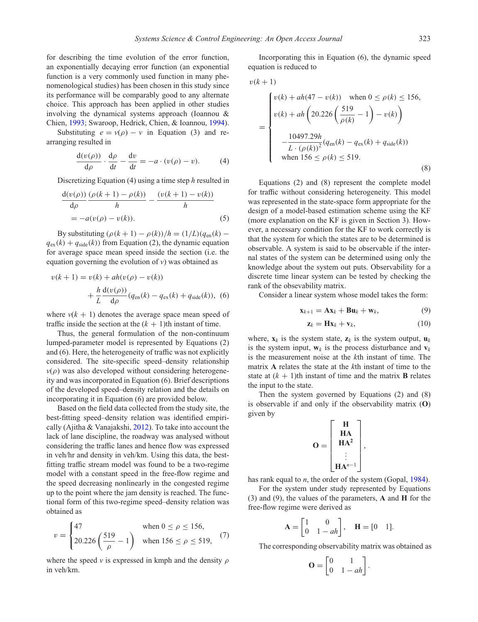for describing the time evolution of the error function, an exponentially decaying error function (an exponential function is a very commonly used function in many phenomenological studies) has been chosen in this study since its performance will be comparably good to any alternate choice. This approach has been applied in other studies involving the dynamical systems approach (Ioannou & Chien, [1993;](#page-11-25) Swaroop, Hedrick, Chien, & Ioannou, [1994\)](#page-12-14).

Substituting  $e = v(\rho) - v$  in Equation (3) and rearranging resulted in

$$
\frac{d(v(\rho))}{d\rho} \cdot \frac{d\rho}{dt} - \frac{dv}{dt} = -a \cdot (v(\rho) - v). \tag{4}
$$

Discretizing Equation (4) using a time step *h* resulted in

$$
\frac{d(v(\rho))}{d\rho} \frac{(\rho(k+1) - \rho(k))}{h} - \frac{(v(k+1) - v(k))}{h}
$$
  
=  $-a(v(\rho) - v(k)).$  (5)

By substituting  $(\rho(k+1) - \rho(k))/h = (1/L)(q_{en}(k)$  $q_{ex}(k) + q_{side}(k)$  from Equation (2), the dynamic equation for average space mean speed inside the section (i.e. the equation governing the evolution of *v*) was obtained as

$$
v(k+1) = v(k) + ah(v(\rho) - v(k))
$$

$$
+ \frac{h}{L} \frac{d(v(\rho))}{d\rho} (q_{en}(k) - q_{ex}(k) + q_{side}(k)),
$$
 (6)

where  $v(k + 1)$  denotes the average space mean speed of traffic inside the section at the  $(k + 1)$ th instant of time.

Thus, the general formulation of the non-continuum lumped-parameter model is represented by Equations (2) and (6). Here, the heterogeneity of traffic was not explicitly considered. The site-specific speed–density relationship  $v(\rho)$  was also developed without considering heterogeneity and was incorporated in Equation (6). Brief descriptions of the developed speed–density relation and the details on incorporating it in Equation (6) are provided below.

Based on the field data collected from the study site, the best-fitting speed–density relation was identified empirically (Ajitha & Vanajakshi, [2012\)](#page-11-23). To take into account the lack of lane discipline, the roadway was analysed without considering the traffic lanes and hence flow was expressed in veh/hr and density in veh/km. Using this data, the bestfitting traffic stream model was found to be a two-regime model with a constant speed in the free-flow regime and the speed decreasing nonlinearly in the congested regime up to the point where the jam density is reached. The functional form of this two-regime speed–density relation was obtained as

$$
v = \begin{cases} 47 & \text{when } 0 \le \rho \le 156, \\ 20.226 \left( \frac{519}{\rho} - 1 \right) & \text{when } 156 \le \rho \le 519, \end{cases} (7)
$$

where the speed  $\nu$  is expressed in kmph and the density  $\rho$ in veh/km.

Incorporating this in Equation (6), the dynamic speed equation is reduced to

$$
v(k + 1)
$$
  
= 
$$
\begin{cases} v(k) + ah(47 - v(k)) & \text{when } 0 \le \rho(k) \le 156, \\ v(k) + ah\left(20.226\left(\frac{519}{\rho(k)} - 1\right) - v(k)\right) \\ -\frac{10497.29h}{L \cdot (\rho(k))^{2}} (q_{en}(k) - q_{ex}(k) + q_{side}(k)) \\ \text{when } 156 \le \rho(k) \le 519. \end{cases}
$$
 (8)

Equations (2) and (8) represent the complete model for traffic without considering heterogeneity. This model was represented in the state-space form appropriate for the design of a model-based estimation scheme using the KF (more explanation on the KF is given in Section 3). However, a necessary condition for the KF to work correctly is that the system for which the states are to be determined is observable. A system is said to be observable if the internal states of the system can be determined using only the knowledge about the system out puts. Observability for a discrete time linear system can be tested by checking the rank of the obsevability matrix.

Consider a linear system whose model takes the form:

$$
\mathbf{x}_{k+1} = \mathbf{A}\mathbf{x}_k + \mathbf{B}\mathbf{u}_k + \mathbf{w}_k, \tag{9}
$$

$$
\mathbf{z}_k = \mathbf{H}\mathbf{x}_k + \mathbf{v}_k, \tag{10}
$$

where,  $\mathbf{x}_k$  is the system state,  $\mathbf{z}_k$  is the system output,  $\mathbf{u}_k$ is the system input,  $w_k$  is the process disturbance and  $v_k$ is the measurement noise at the *k*th instant of time. The matrix **A** relates the state at the *k*th instant of time to the state at  $(k + 1)$ th instant of time and the matrix **B** relates the input to the state.

Then the system governed by Equations (2) and (8) is observable if and only if the observability matrix (**O**) given by

$$
\mathbf{O} = \begin{bmatrix} \mathbf{H} \\ \mathbf{H}\mathbf{A}^2 \\ \vdots \\ \mathbf{H}\mathbf{A}^{n-1} \end{bmatrix},
$$

has rank equal to *n*, the order of the system (Gopal, [1984\)](#page-11-26).

For the system under study represented by Equations (3) and (9), the values of the parameters, **A** and **H** for the free-flow regime were derived as

$$
\mathbf{A} = \begin{bmatrix} 1 & 0 \\ 0 & 1 - ah \end{bmatrix}, \quad \mathbf{H} = \begin{bmatrix} 0 & 1 \end{bmatrix}.
$$

The corresponding observability matrix was obtained as

$$
\mathbf{O} = \begin{bmatrix} 0 & 1 \\ 0 & 1 - ah \end{bmatrix}.
$$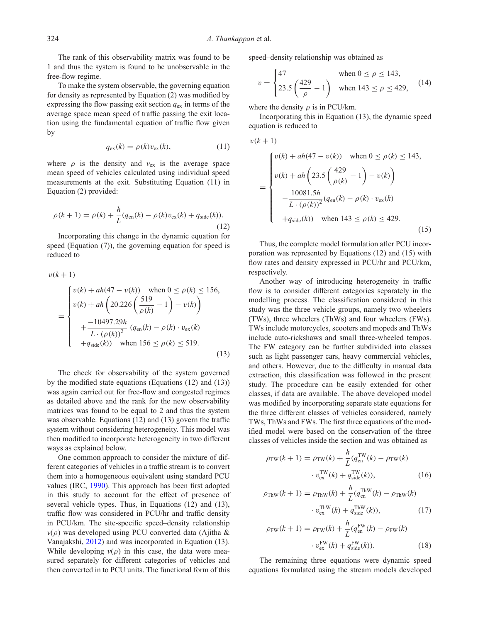The rank of this observability matrix was found to be 1 and thus the system is found to be unobservable in the free-flow regime.

To make the system observable, the governing equation for density as represented by Equation (2) was modified by expressing the flow passing exit section  $q_{\text{ex}}$  in terms of the average space mean speed of traffic passing the exit location using the fundamental equation of traffic flow given by

$$
q_{\text{ex}}(k) = \rho(k)v_{\text{ex}}(k),\tag{11}
$$

where  $\rho$  is the density and  $v_{ex}$  is the average space mean speed of vehicles calculated using individual speed measurements at the exit. Substituting Equation (11) in Equation (2) provided:

$$
\rho(k+1) = \rho(k) + \frac{h}{L}(q_{\text{en}}(k) - \rho(k)v_{\text{ex}}(k) + q_{\text{side}}(k)).
$$
\n(12)

Incorporating this change in the dynamic equation for speed (Equation (7)), the governing equation for speed is reduced to

$$
v(k + 1)
$$
  
= 
$$
\begin{cases} v(k) + ah(47 - v(k)) & \text{when } 0 \le \rho(k) \le 156, \\ v(k) + ah\left(20.226\left(\frac{519}{\rho(k)} - 1\right) - v(k)\right) \\ + \frac{-10497.29h}{L \cdot (\rho(k))^2} (q_{en}(k) - \rho(k) \cdot v_{ex}(k) \\ + q_{side}(k)) & \text{when } 156 \le \rho(k) \le 519. \end{cases}
$$
 (13)

The check for observability of the system governed by the modified state equations (Equations (12) and (13)) was again carried out for free-flow and congested regimes as detailed above and the rank for the new observability matrices was found to be equal to 2 and thus the system was observable. Equations (12) and (13) govern the traffic system without considering heterogeneity. This model was then modified to incorporate heterogeneity in two different ways as explained below.

One common approach to consider the mixture of different categories of vehicles in a traffic stream is to convert them into a homogeneous equivalent using standard PCU values (IRC, [1990\)](#page-11-22). This approach has been first adopted in this study to account for the effect of presence of several vehicle types. Thus, in Equations (12) and (13), traffic flow was considered in PCU/hr and traffic density in PCU/km. The site-specific speed–density relationship  $v(\rho)$  was developed using PCU converted data (Ajitha & Vanajakshi, [2012\)](#page-11-23) and was incorporated in Equation (13). While developing  $v(\rho)$  in this case, the data were measured separately for different categories of vehicles and then converted in to PCU units. The functional form of this

speed–density relationship was obtained as

$$
v = \begin{cases} 47 & \text{when } 0 \le \rho \le 143, \\ 23.5 \left( \frac{429}{\rho} - 1 \right) & \text{when } 143 \le \rho \le 429, \end{cases}
$$
 (14)

where the density  $\rho$  is in PCU/km.

Incorporating this in Equation (13), the dynamic speed equation is reduced to

$$
v(k + 1)
$$
  
= 
$$
\begin{cases} v(k) + ah(47 - v(k)) & \text{when } 0 \le \rho(k) \le 143, \\ v(k) + ah\left(23.5\left(\frac{429}{\rho(k)} - 1\right) - v(k)\right) \\ -\frac{10081.5h}{L \cdot (\rho(k))^{2}}(q_{en}(k) - \rho(k) \cdot v_{ex}(k) \\ +q_{side}(k)) & \text{when } 143 \le \rho(k) \le 429. \end{cases}
$$
(15)

Thus, the complete model formulation after PCU incorporation was represented by Equations (12) and (15) with flow rates and density expressed in PCU/hr and PCU/km, respectively.

Another way of introducing heterogeneity in traffic flow is to consider different categories separately in the modelling process. The classification considered in this study was the three vehicle groups, namely two wheelers (TWs), three wheelers (ThWs) and four wheelers (FWs). TWs include motorcycles, scooters and mopeds and ThWs include auto-rickshaws and small three-wheeled tempos. The FW category can be further subdivided into classes such as light passenger cars, heavy commercial vehicles, and others. However, due to the difficulty in manual data extraction, this classification was followed in the present study. The procedure can be easily extended for other classes, if data are available. The above developed model was modified by incorporating separate state equations for the three different classes of vehicles considered, namely TWs, ThWs and FWs. The first three equations of the modified model were based on the conservation of the three classes of vehicles inside the section and was obtained as

$$
\rho_{\text{TW}}(k+1) = \rho_{\text{TW}}(k) + \frac{h}{L} (q_{\text{en}}^{\text{TW}}(k) - \rho_{\text{TW}}(k))
$$

$$
\cdot v_{\text{ex}}^{\text{TW}}(k) + q_{\text{side}}^{\text{TW}}(k)), \tag{16}
$$

$$
\rho_{\text{ThW}}(k+1) = \rho_{\text{ThW}}(k) + \frac{h}{L}(q_{\text{en}}^{\text{ThW}}(k) - \rho_{\text{ThW}}(k)
$$

$$
\cdot v_{\text{ex}}^{\text{ThW}}(k) + q_{\text{side}}^{\text{ThW}}(k)),\tag{17}
$$

$$
\rho_{\rm FW}(k+1) = \rho_{\rm FW}(k) + \frac{h}{L}(q_{\rm en}^{\rm FW}(k) - \rho_{\rm FW}(k)
$$

$$
\cdot v_{\rm ex}^{\rm FW}(k) + q_{\rm side}^{\rm FW}(k)). \tag{18}
$$

The remaining three equations were dynamic speed equations formulated using the stream models developed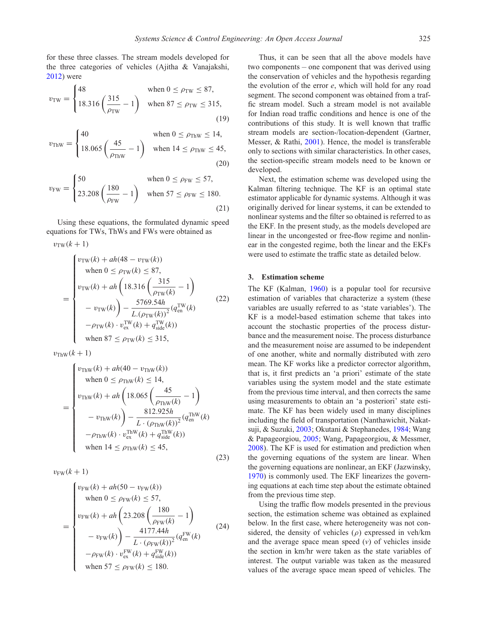for these three classes. The stream models developed for the three categories of vehicles (Ajitha & Vanajakshi, [2012\)](#page-11-23) were

$$
v_{\text{TW}} = \begin{cases} 48 & \text{when } 0 \le \rho_{\text{TW}} \le 87, \\ 18.316 \left( \frac{315}{\rho_{\text{TW}}} - 1 \right) & \text{when } 87 \le \rho_{\text{TW}} \le 315, \end{cases}
$$
(19)

$$
v_{\text{ThW}} = \begin{cases} 40 & \text{when } 0 \le \rho_{\text{ThW}} \le 14, \\ 18.065 \left( \frac{45}{\rho_{\text{ThW}}} - 1 \right) & \text{when } 14 \le \rho_{\text{ThW}} \le 45, \\ \end{cases}
$$
 (20)

$$
v_{\text{FW}} = \begin{cases} 50 & \text{when } 0 \le \rho_{\text{FW}} \le 57, \\ 23.208 \left( \frac{180}{\rho_{\text{FW}}} - 1 \right) & \text{when } 57 \le \rho_{\text{FW}} \le 180. \end{cases}
$$
(21)

Using these equations, the formulated dynamic speed equations for TWs, ThWs and FWs were obtained as  $v_{\text{TW}}(k+1)$ 

$$
\begin{cases}\nv_{\text{TW}}(k) + ah(48 - v_{\text{TW}}(k)) \\
\text{when } 0 \le \rho_{\text{TW}}(k) \le 87, \\
v_{\text{TW}}(k) + ah\left(18.316\left(\frac{315}{\rho_{\text{TW}}(k)} - 1\right) - \frac{5769.54h}{L.(\rho_{\text{TW}}(k))^2} (q_{\text{en}}^{\text{TW}}(k) - \rho_{\text{TW}}(k) \cdot v_{\text{ex}}^{\text{TW}}(k) + q_{\text{side}}^{\text{TW}}(k)) \\
\text{when } 87 \le \rho_{\text{TW}}(k) \le 315,\n\end{cases}
$$
\n(22)

 $v_{\text{ThW}}(k+1)$  $\epsilon$ 

$$
v_{\text{ThW}}(k) + ah(40 - v_{\text{ThW}}(k))
$$
  
when  $0 \le \rho_{\text{ThW}}(k) \le 14$ ,  

$$
v_{\text{ThW}}(k) + ah\left(18.065\left(\frac{45}{\rho_{\text{ThW}}(k)} - 1\right)\right)
$$

$$
- v_{\text{ThW}}(k)\left(-\frac{812.925h}{L \cdot (\rho_{\text{ThW}}(k))^2} (q_{\text{en}}^{\text{ThW}}(k))\right)
$$

$$
- \rho_{\text{ThW}}(k) \cdot v_{\text{ex}}^{\text{ThW}}(k) + q_{\text{side}}^{\text{ThW}}(k))
$$
  
when  $14 \le \rho_{\text{ThW}}(k) \le 45$ , (23)

 $v_{\text{FW}}(k+1)$ 

$$
\begin{cases}\nv_{\text{FW}}(k) + ah(50 - v_{\text{FW}}(k)) \\
\text{when } 0 \le \rho_{\text{FW}}(k) \le 57, \\
v_{\text{FW}}(k) + ah\left(23.208\left(\frac{180}{\rho_{\text{FW}}(k)} - 1\right) - v_{\text{FW}}(k)\right) - \frac{4177.44h}{L \cdot (\rho_{\text{FW}}(k))^2} (q_{\text{en}}^{\text{EW}}(k) - \rho_{\text{FW}}(k) \cdot v_{\text{ex}}^{\text{FW}}(k) + q_{\text{side}}^{\text{EW}}(k)) \\
\text{when } 57 \le \rho_{\text{FW}}(k) \le 180.\n\end{cases} (24)
$$

Thus, it can be seen that all the above models have two components – one component that was derived using the conservation of vehicles and the hypothesis regarding the evolution of the error *e*, which will hold for any road segment. The second component was obtained from a traffic stream model. Such a stream model is not available for Indian road traffic conditions and hence is one of the contributions of this study. It is well known that traffic stream models are section-/location-dependent (Gartner, Messer, & Rathi, [2001\)](#page-11-27). Hence, the model is transferable only to sections with similar characteristics. In other cases, the section-specific stream models need to be known or developed.

Next, the estimation scheme was developed using the Kalman filtering technique. The KF is an optimal state estimator applicable for dynamic systems. Although it was originally derived for linear systems, it can be extended to nonlinear systems and the filter so obtained is referred to as the EKF. In the present study, as the models developed are linear in the uncongested or free-flow regime and nonlinear in the congested regime, both the linear and the EKFs were used to estimate the traffic state as detailed below.

#### **3. Estimation scheme**

The KF (Kalman, [1960\)](#page-11-28) is a popular tool for recursive estimation of variables that characterize a system (these variables are usually referred to as 'state variables'). The KF is a model-based estimation scheme that takes into account the stochastic properties of the process disturbance and the measurement noise. The process disturbance and the measurement noise are assumed to be independent of one another, white and normally distributed with zero mean. The KF works like a predictor corrector algorithm, that is, it first predicts an 'a priori' estimate of the state variables using the system model and the state estimate from the previous time interval, and then corrects the same using measurements to obtain an 'a posteriori' state estimate. The KF has been widely used in many disciplines including the field of transportation (Nanthawichit, Nakatsuji, & Suzuki, [2003;](#page-11-29) Okutani & Stephanedes, [1984;](#page-11-30) Wang & Papageorgiou, [2005;](#page-12-11) Wang, Papageorgiou, & Messmer, [2008\)](#page-12-13). The KF is used for estimation and prediction when the governing equations of the system are linear. When the governing equations are nonlinear, an EKF (Jazwinsky, [1970\)](#page-11-31) is commonly used. The EKF linearizes the governing equations at each time step about the estimate obtained from the previous time step.

Using the traffic flow models presented in the previous section, the estimation scheme was obtained as explained below. In the first case, where heterogeneity was not considered, the density of vehicles  $(\rho)$  expressed in veh/km and the average space mean speed  $(v)$  of vehicles inside the section in km/hr were taken as the state variables of interest. The output variable was taken as the measured values of the average space mean speed of vehicles. The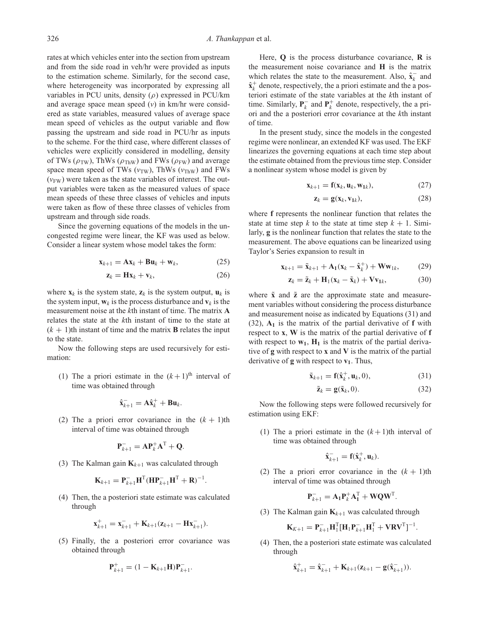rates at which vehicles enter into the section from upstream and from the side road in veh/hr were provided as inputs to the estimation scheme. Similarly, for the second case, where heterogeneity was incorporated by expressing all variables in PCU units, density  $(\rho)$  expressed in PCU/km and average space mean speed (*v*) in km/hr were considered as state variables, measured values of average space mean speed of vehicles as the output variable and flow passing the upstream and side road in PCU/hr as inputs to the scheme. For the third case, where different classes of vehicles were explicitly considered in modelling, density of TWs ( $\rho_{TW}$ ), ThWs ( $\rho_{ThW}$ ) and FWs ( $\rho_{FW}$ ) and average space mean speed of TWs  $(v_{TW})$ , ThWs  $(v_{ThW})$  and FWs  $(v_{FW})$  were taken as the state variables of interest. The output variables were taken as the measured values of space mean speeds of these three classes of vehicles and inputs were taken as flow of these three classes of vehicles from upstream and through side roads.

Since the governing equations of the models in the uncongested regime were linear, the KF was used as below. Consider a linear system whose model takes the form:

$$
\mathbf{x}_{k+1} = \mathbf{A}\mathbf{x}_k + \mathbf{B}\mathbf{u}_k + \mathbf{w}_k, \tag{25}
$$

$$
\mathbf{z}_k = \mathbf{H}\mathbf{x}_k + \mathbf{v}_k, \tag{26}
$$

where  $\mathbf{x}_k$  is the system state,  $\mathbf{z}_k$  is the system output,  $\mathbf{u}_k$  is the system input,  $w_k$  is the process disturbance and  $v_k$  is the measurement noise at the *k*th instant of time. The matrix **A** relates the state at the *k*th instant of time to the state at  $(k + 1)$ th instant of time and the matrix **B** relates the input to the state.

Now the following steps are used recursively for estimation:

(1) The a priori estimate in the  $(k+1)$ <sup>th</sup> interval of time was obtained through

$$
\hat{\mathbf{x}}_{k+1}^{-} = \mathbf{A}\hat{\mathbf{x}}_{k}^{+} + \mathbf{B}\mathbf{u}_{k}.
$$

(2) The a priori error covariance in the  $(k + 1)$ th interval of time was obtained through

$$
\mathbf{P}_{k+1}^- = \mathbf{A} \mathbf{P}_k^+ \mathbf{A}^{\mathrm{T}} + \mathbf{Q}.
$$

(3) The Kalman gain  $K_{k+1}$  was calculated through

$$
\mathbf{K}_{k+1} = \mathbf{P}_{k+1}^{-} \mathbf{H}^{T} (\mathbf{H} \mathbf{P}_{k+1}^{-} \mathbf{H}^{T} + \mathbf{R})^{-1}.
$$

(4) Then, the a posteriori state estimate was calculated through

$$
\mathbf{x}_{k+1}^+ = \mathbf{x}_{k+1}^- + \mathbf{K}_{k+1}(\mathbf{z}_{k+1} - \mathbf{H}\mathbf{x}_{k+1}^-).
$$

(5) Finally, the a posteriori error covariance was obtained through

$$
\mathbf{P}_{k+1}^{+} = (1 - \mathbf{K}_{k+1} \mathbf{H}) \mathbf{P}_{k+1}^{-}.
$$

Here, **Q** is the process disturbance covariance, **R** is the measurement noise covariance and **H** is the matrix which relates the state to the measurement. Also,  $\hat{\mathbf{x}}_k^-$  and  $\hat{\mathbf{x}}_k^+$  denote, respectively, the a priori estimate and the a posteriori estimate of the state variables at the *k*th instant of time. Similarly,  $P_k^-$  and  $P_k^+$  denote, respectively, the a priori and the a posteriori error covariance at the *k*th instant of time.

In the present study, since the models in the congested regime were nonlinear, an extended KF was used. The EKF linearizes the governing equations at each time step about the estimate obtained from the previous time step. Consider a nonlinear system whose model is given by

$$
\mathbf{x}_{k+1} = \mathbf{f}(\mathbf{x}_k, \mathbf{u}_k, \mathbf{w}_{1k}),\tag{27}
$$

$$
\mathbf{z}_k = \mathbf{g}(\mathbf{x}_k, \mathbf{v}_{1k}),\tag{28}
$$

where **f** represents the nonlinear function that relates the state at time step *k* to the state at time step  $k + 1$ . Similarly, **g** is the nonlinear function that relates the state to the measurement. The above equations can be linearized using Taylor's Series expansion to result in

$$
\mathbf{x}_{k+1} = \tilde{\mathbf{x}}_{k+1} + \mathbf{A}_1(\mathbf{x}_k - \hat{\mathbf{x}}_k^+) + \mathbf{W}\mathbf{w}_{1k},
$$
 (29)

$$
\mathbf{z}_k = \tilde{\mathbf{z}}_k + \mathbf{H}_1(\mathbf{x}_k - \tilde{\mathbf{x}}_k) + \mathbf{V}\mathbf{v}_{1k},
$$
 (30)

where  $\tilde{x}$  and  $\tilde{z}$  are the approximate state and measurement variables without considering the process disturbance and measurement noise as indicated by Equations (31) and  $(32)$ ,  $A_1$  is the matrix of the partial derivative of **f** with respect to **x**, **W** is the matrix of the partial derivative of **f** with respect to  $w_1$ ,  $H_1$  is the matrix of the partial derivative of **g** with respect to **x** and **V** is the matrix of the partial derivative of  $g$  with respect to  $v_1$ . Thus,

$$
\tilde{\mathbf{x}}_{k+1} = \mathbf{f}(\hat{\mathbf{x}}_k^+, \mathbf{u}_k, 0),\tag{31}
$$

$$
\tilde{\mathbf{z}}_k = \mathbf{g}(\tilde{\mathbf{x}}_k, 0). \tag{32}
$$

Now the following steps were followed recursively for estimation using EKF:

(1) The a priori estimate in the  $(k+1)$ th interval of time was obtained through

$$
\hat{\mathbf{x}}_{k+1}^- = \mathbf{f}(\hat{\mathbf{x}}_k^+, \mathbf{u}_k).
$$

(2) The a priori error covariance in the  $(k + 1)$ th interval of time was obtained through

$$
\mathbf{P}_{k+1}^- = \mathbf{A}_1 \mathbf{P}_k^+ \mathbf{A}_1^{\mathrm{T}} + \mathbf{W} \mathbf{Q} \mathbf{W}^{\mathrm{T}}.
$$

(3) The Kalman gain  $K_{k+1}$  was calculated through

$$
\mathbf{K}_{K+1} = \mathbf{P}_{k+1}^{-} \mathbf{H}_{1}^{T} [\mathbf{H}_{1} \mathbf{P}_{k+1}^{-} \mathbf{H}_{1}^{T} + \mathbf{V} \mathbf{R} \mathbf{V}^{T}]^{-1}.
$$

(4) Then, the a posteriori state estimate was calculated through

$$
\hat{\mathbf{x}}_{k+1}^{+} = \hat{\mathbf{x}}_{k+1}^{-} + \mathbf{K}_{k+1}(\mathbf{z}_{k+1} - \mathbf{g}(\hat{\mathbf{x}}_{k+1}^{-})).
$$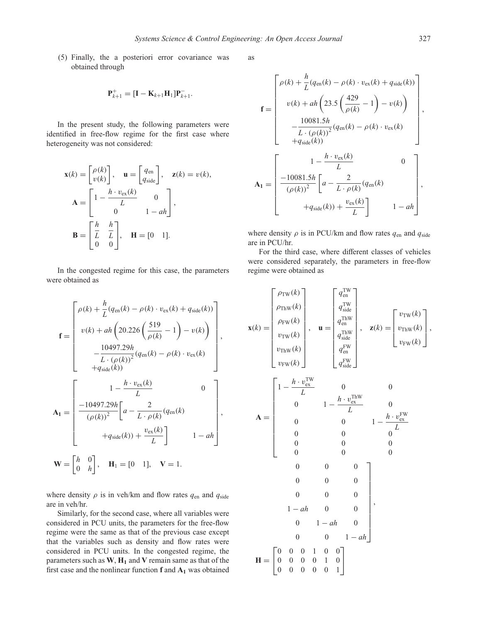(5) Finally, the a posteriori error covariance was obtained through

$$
\mathbf{P}_{k+1}^+ = [\mathbf{I} - \mathbf{K}_{k+1} \mathbf{H}_1] \mathbf{P}_{k+1}^-.
$$

In the present study, the following parameters were identified in free-flow regime for the first case where heterogeneity was not considered:

$$
\mathbf{x}(k) = \begin{bmatrix} \rho(k) \\ v(k) \end{bmatrix}, \quad \mathbf{u} = \begin{bmatrix} q_{\text{en}} \\ q_{\text{side}} \end{bmatrix}, \quad \mathbf{z}(k) = v(k),
$$

$$
\mathbf{A} = \begin{bmatrix} 1 - \frac{h \cdot v_{\text{ex}}(k)}{L} & 0 \\ 0 & 1 - ah \end{bmatrix},
$$

$$
\mathbf{B} = \begin{bmatrix} \frac{h}{L} & \frac{h}{L} \\ 0 & 0 \end{bmatrix}, \quad \mathbf{H} = \begin{bmatrix} 0 & 1 \end{bmatrix}.
$$

In the congested regime for this case, the parameters were obtained as

$$
\mathbf{f} = \begin{bmatrix} \rho(k) + \frac{h}{L}(q_{en}(k) - \rho(k) \cdot v_{ex}(k) + q_{side}(k)) \\ v(k) + ah \left(20.226 \left(\frac{519}{\rho(k)} - 1\right) - v(k)\right) \\ -\frac{10497.29h}{L \cdot (\rho(k))^{2}} (q_{en}(k) - \rho(k) \cdot v_{ex}(k) \\ + q_{side}(k)) \end{bmatrix},
$$

$$
\mathbf{A}_{1} = \begin{bmatrix} 1 - \frac{h \cdot v_{ex}(k)}{L} & 0 \\ \frac{-10497.29h}{(\rho(k))^{2}} \left[a - \frac{2}{L \cdot \rho(k)} (q_{en}(k) + q_{side}(k)) + \frac{v_{ex}(k)}{L}\right] & 1 - ah \\ + q_{side}(k)) + \frac{v_{ex}(k)}{L} & 1 - ah \end{bmatrix},
$$

$$
\mathbf{W} = \begin{bmatrix} h & 0 \\ 0 & h \end{bmatrix}, \quad \mathbf{H}_{1} = [0 \quad 1], \quad \mathbf{V} = 1.
$$

where density  $\rho$  is in veh/km and flow rates  $q_{en}$  and  $q_{side}$ are in veh/hr.

Similarly, for the second case, where all variables were considered in PCU units, the parameters for the free-flow regime were the same as that of the previous case except that the variables such as density and flow rates were considered in PCU units. In the congested regime, the parameters such as  $W$ ,  $H_1$  and  $V$  remain same as that of the first case and the nonlinear function **f** and **A1** was obtained

as

$$
\mathbf{f} = \begin{bmatrix} \rho(k) + \frac{h}{L}(q_{en}(k) - \rho(k) \cdot v_{ex}(k) + q_{side}(k)) \\ v(k) + ah \left( 23.5 \left( \frac{429}{\rho(k)} - 1 \right) - v(k) \right) \\ - \frac{10081.5h}{L \cdot (\rho(k))^2} (q_{en}(k) - \rho(k) \cdot v_{ex}(k) \\ + q_{side}(k)) \end{bmatrix},
$$

$$
\mathbf{A}_1 = \begin{bmatrix} 1 - \frac{h \cdot v_{ex}(k)}{L} & 0 \\ \frac{-10081.5h}{(\rho(k))^2} \left[ a - \frac{2}{L \cdot \rho(k)} (q_{en}(k) + q_{side}(k)) + \frac{v_{ex}(k)}{L} \right] & 1 - ah \end{bmatrix},
$$

where density  $\rho$  is in PCU/km and flow rates  $q_{en}$  and  $q_{side}$ are in PCU/hr.

For the third case, where different classes of vehicles were considered separately, the parameters in free-flow regime were obtained as

$$
\mathbf{x}(k) = \begin{bmatrix} \rho_{\text{TW}}(k) \\ \rho_{\text{FW}}(k) \\ \rho_{\text{FW}}(k) \\ v_{\text{TW}}(k) \\ v_{\text{TW}}(k) \\ v_{\text{FW}}(k) \end{bmatrix}, \quad \mathbf{u} = \begin{bmatrix} q_{\text{cm}}^{\text{TW}} \\ q_{\text{side}}^{\text{TW}} \\ q_{\text{side}}^{\text{FW}} \\ q_{\text{side}}^{\text{FW}} \end{bmatrix}, \quad \mathbf{z}(k) = \begin{bmatrix} v_{\text{TW}}(k) \\ v_{\text{TW}}(k) \\ v_{\text{FW}}(k) \end{bmatrix},
$$

$$
\mathbf{A} = \begin{bmatrix} 1 - \frac{h \cdot v_{\text{ex}}^{\text{TW}}}{L} & 0 & 0 \\ 0 & 1 - \frac{h \cdot v_{\text{ex}}^{\text{TW}}}{L} & 0 \\ 0 & 0 & 1 - \frac{h \cdot v_{\text{ex}}^{\text{TW}}}{L} \\ 0 & 0 & 0 \\ 0 & 0 & 0 \\ 0 & 0 & 0 \\ 0 & 0 & 0 \end{bmatrix}
$$

$$
\mathbf{A} = \begin{bmatrix} 1 - ah & 0 & 0 \\ 0 & 0 & 0 \\ 0 & 0 & 0 \\ 0 & 0 & 1 - ah \\ 0 & 1 - ah & 0 \\ 0 & 0 & 1 - ah \end{bmatrix},
$$

$$
\mathbf{H} = \begin{bmatrix} 0 & 0 & 0 & 1 & 0 & 0 \\ 0 & 0 & 0 & 0 & 1 \\ 0 & 0 & 0 & 0 & 1 \\ 0 & 0 & 0 & 0 & 1 \end{bmatrix}
$$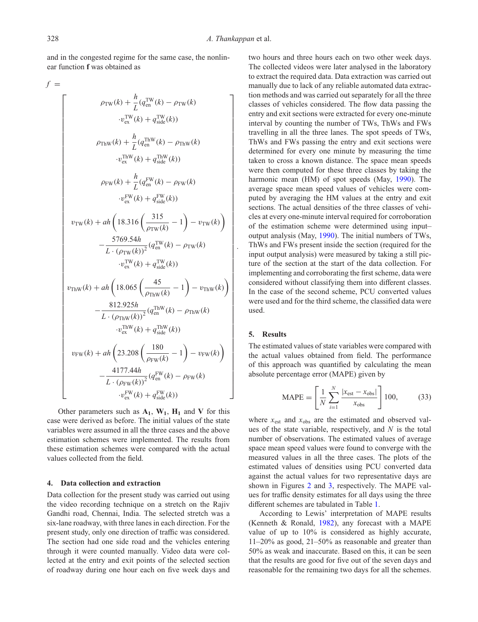.

and in the congested regime for the same case, the nonlinear function **f** was obtained as

$$
f = \n\begin{bmatrix}\n\rho_{TW}(k) + \frac{h}{L}(q_{en}^{TW}(k) - \rho_{TW}(k) \\
v_{ex}^{TW}(k) + q_{side}^{TW}(k))\n\end{bmatrix}
$$
\n
$$
\rho_{ThW}(k) + \frac{h}{L}(q_{en}^{ThW}(k) - \rho_{ThW}(k) \\
\cdot v_{ex}^{ThW}(k) + q_{side}^{ThW}(k))\n\end{bmatrix}
$$
\n
$$
\rho_{FW}(k) + \frac{h}{L}(q_{en}^{FW}(k) - \rho_{FW}(k) \\
\cdot v_{ex}^{FW}(k) + q_{side}^{FM}(k))\n\end{bmatrix}
$$
\n
$$
v_{TW}(k) + ah \left(18.316 \left(\frac{315}{\rho_{TW}(k)} - 1\right) - v_{TW}(k)\right) \\
-\frac{5769.54h}{L \cdot (\rho_{TW}(k))^{2}} (q_{en}^{TW}(k) - \rho_{TW}(k) \\
\cdot v_{ex}^{TW}(k) + q_{side}^{TW}(k))\n\end{bmatrix}
$$
\n
$$
v_{ThW}(k) + ah \left(18.065 \left(\frac{45}{\rho_{ThW}(k)} - 1\right) - v_{ThW}(k)\right) \\
-\frac{812.925h}{L \cdot (\rho_{ThW}(k))^{2}} (q_{en}^{ThW}(k) - \rho_{ThW}(k) \\
\cdot v_{ex}^{ThW}(k) + q_{side}^{ThW}(k))\n\end{bmatrix}
$$
\n
$$
v_{FW}(k) + ah \left(23.208 \left(\frac{180}{\rho_{FW}(k)} - 1\right) - v_{FW}(k)\right) \\
v_{FW}(k) + ah \left(23.208 \left(\frac{180}{\rho_{FW}(k)} - 1\right) - v_{FW}(k) \\
\cdot v_{ex}^{FW}(k) + q_{side}^{FW}(k) - \rho_{FW}(k) \\
\cdot v_{ex}^{FW}(k) + q_{side}^{FW}(k)
$$

Other parameters such as  $A_1$ ,  $W_1$ ,  $H_1$  and V for this case were derived as before. The initial values of the state variables were assumed in all the three cases and the above estimation schemes were implemented. The results from these estimation schemes were compared with the actual values collected from the field.

### **4. Data collection and extraction**

Data collection for the present study was carried out using the video recording technique on a stretch on the Rajiv Gandhi road, Chennai, India. The selected stretch was a six-lane roadway, with three lanes in each direction. For the present study, only one direction of traffic was considered. The section had one side road and the vehicles entering through it were counted manually. Video data were collected at the entry and exit points of the selected section of roadway during one hour each on five week days and

two hours and three hours each on two other week days. The collected videos were later analysed in the laboratory to extract the required data. Data extraction was carried out manually due to lack of any reliable automated data extraction methods and was carried out separately for all the three classes of vehicles considered. The flow data passing the entry and exit sections were extracted for every one-minute interval by counting the number of TWs, ThWs and FWs travelling in all the three lanes. The spot speeds of TWs, ThWs and FWs passing the entry and exit sections were determined for every one minute by measuring the time taken to cross a known distance. The space mean speeds were then computed for these three classes by taking the harmonic mean (HM) of spot speeds (May, [1990\)](#page-11-32). The average space mean speed values of vehicles were computed by averaging the HM values at the entry and exit sections. The actual densities of the three classes of vehicles at every one-minute interval required for corroboration of the estimation scheme were determined using input– output analysis (May, [1990\)](#page-11-32). The initial numbers of TWs, ThWs and FWs present inside the section (required for the input output analysis) were measured by taking a still picture of the section at the start of the data collection. For implementing and corroborating the first scheme, data were considered without classifying them into different classes. In the case of the second scheme, PCU converted values were used and for the third scheme, the classified data were used.

## **5. Results**

The estimated values of state variables were compared with the actual values obtained from field. The performance of this approach was quantified by calculating the mean absolute percentage error (MAPE) given by

$$
MAPE = \left[ \frac{1}{N} \sum_{i=1}^{N} \frac{|x_{est} - x_{obs}|}{x_{obs}} \right] 100, \quad (33)
$$

where  $x_{est}$  and  $x_{obs}$  are the estimated and observed values of the state variable, respectively, and *N* is the total number of observations. The estimated values of average space mean speed values were found to converge with the measured values in all the three cases. The plots of the estimated values of densities using PCU converted data against the actual values for two representative days are shown in Figures [2](#page-10-0) and [3,](#page-10-1) respectively. The MAPE values for traffic density estimates for all days using the three different schemes are tabulated in Table [1.](#page-10-2)

According to Lewis' interpretation of MAPE results (Kenneth & Ronald, [1982\)](#page-11-33), any forecast with a MAPE value of up to 10% is considered as highly accurate, 11–20% as good, 21–50% as reasonable and greater than 50% as weak and inaccurate. Based on this, it can be seen that the results are good for five out of the seven days and reasonable for the remaining two days for all the schemes.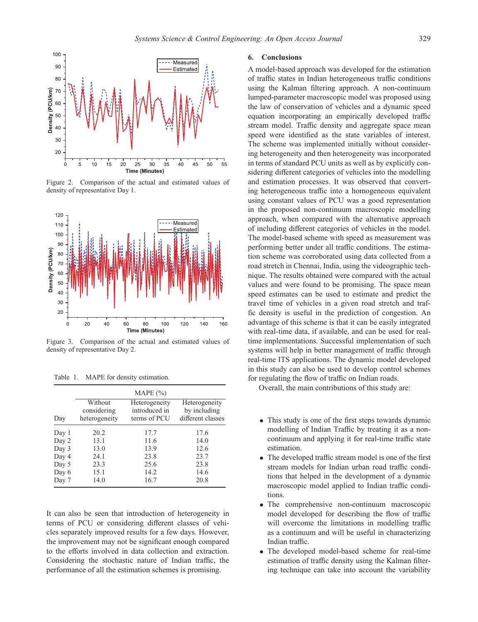

<span id="page-10-0"></span>Figure 2. Comparison of the actual and estimated values of density of representative Day 1.



<span id="page-10-1"></span>Figure 3. Comparison of the actual and estimated values of density of representative Day 2.

| Table 1. |  |  |  |  | MAPE for density estimation. |
|----------|--|--|--|--|------------------------------|
|----------|--|--|--|--|------------------------------|

<span id="page-10-2"></span>

| Day   | Without<br>considering<br>heterogeneity | MAPE $(\% )$<br>Heterogeneity<br>introduced in<br>terms of PCU | Heterogeneity<br>by including<br>different classes |
|-------|-----------------------------------------|----------------------------------------------------------------|----------------------------------------------------|
| Day 1 | 20.2                                    | 17.7                                                           | 17.6                                               |
| Day 2 | 13.1                                    | 11.6                                                           | 14.0                                               |
| Day 3 | 13.0                                    | 13.9                                                           | 12.6                                               |
| Day 4 | 24.1                                    | 23.8                                                           | 23.7                                               |
| Day 5 | 23.3                                    | 25.6                                                           | 23.8                                               |
| Day 6 | 15.1                                    | 14.2                                                           | 14.6                                               |
| Day 7 | 14.0                                    | 16.7                                                           | 20.8                                               |

It can also be seen that introduction of heterogeneity in terms of PCU or considering different classes of vehicles separately improved results for a few days. However, the improvement may not be significant enough compared to the efforts involved in data collection and extraction. Considering the stochastic nature of Indian traffic, the performance of all the estimation schemes is promising.

#### **6. Conclusions**

A model-based approach was developed for the estimation of traffic states in Indian heterogeneous traffic conditions using the Kalman filtering approach. A non-continuum lumped-parameter macroscopic model was proposed using the law of conservation of vehicles and a dynamic speed equation incorporating an empirically developed traffic stream model. Traffic density and aggregate space mean speed were identified as the state variables of interest. The scheme was implemented initially without considering heterogeneity and then heterogeneity was incorporated in terms of standard PCU units as well as by explicitly considering different categories of vehicles into the modelling and estimation processes. It was observed that converting heterogeneous traffic into a homogeneous equivalent using constant values of PCU was a good representation in the proposed non-continuum macroscopic modelling approach, when compared with the alternative approach of including different categories of vehicles in the model. The model-based scheme with speed as measurement was performing better under all traffic conditions. The estimation scheme was corroborated using data collected from a road stretch in Chennai, India, using the videographic technique. The results obtained were compared with the actual values and were found to be promising. The space mean speed estimates can be used to estimate and predict the travel time of vehicles in a given road stretch and traffic density is useful in the prediction of congestion. An advantage of this scheme is that it can be easily integrated with real-time data, if available, and can be used for realtime implementations. Successful implementation of such systems will help in better management of traffic through real-time ITS applications. The dynamic model developed in this study can also be used to develop control schemes for regulating the flow of traffic on Indian roads.

Overall, the main contributions of this study are:

- This study is one of the first steps towards dynamic modelling of Indian Traffic by treating it as a noncontinuum and applying it for real-time traffic state estimation.
- The developed traffic stream model is one of the first stream models for Indian urban road traffic conditions that helped in the development of a dynamic macroscopic model applied to Indian traffic conditions.
- The comprehensive non-continuum macroscopic model developed for describing the flow of traffic will overcome the limitations in modelling traffic as a continuum and will be useful in characterizing Indian traffic.
- The developed model-based scheme for real-time estimation of traffic density using the Kalman filtering technique can take into account the variability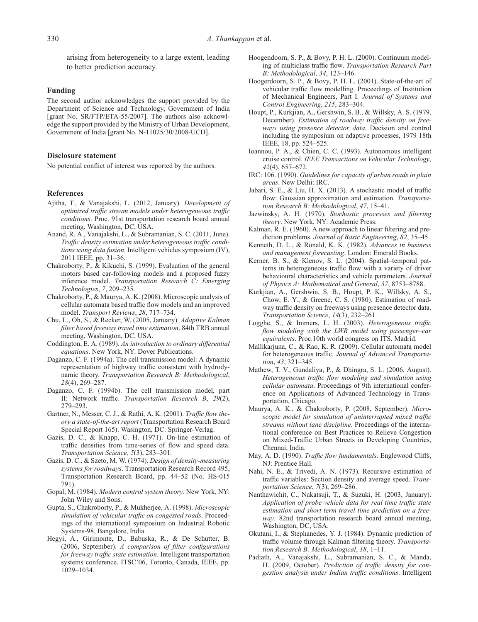arising from heterogeneity to a large extent, leading to better prediction accuracy.

#### **Funding**

The second author acknowledges the support provided by the Department of Science and Technology, Government of India [grant No. SR/FTP/ETA-55/2007]. The authors also acknowledge the support provided by the Ministry of Urban Development, Government of India [grant No. N-11025/30/2008-UCD].

## **Disclosure statement**

No potential conflict of interest was reported by the authors.

#### **References**

- <span id="page-11-23"></span>Ajitha, T., & Vanajakshi, L. (2012, January). *Development of optimized traffic stream models under heterogeneous traffic conditions*. Proc. 91st transportation research board annual meeting, Washington, DC, USA.
- <span id="page-11-6"></span>Anand, R. A., Vanajakshi, L., & Subramanian, S. C. (2011, June). *Traffic density estimation under heterogeneous traffic conditions using data fusion*. Intelligent vehicles symposium (IV), 2011 IEEE, pp. 31–36.
- <span id="page-11-8"></span>Chakroborty, P., & Kikuchi, S. (1999). Evaluation of the general motors based car-following models and a proposed fuzzy inference model. *Transportation Research C: Emerging Technologies*, *7*, 209–235.
- <span id="page-11-9"></span>Chakroborty, P., & Maurya, A. K. (2008). Microscopic analysis of cellular automata based traffic flow models and an improved model. *Transport Reviews*, *28*, 717–734.
- <span id="page-11-20"></span>Chu, L., Oh, S., & Recker, W. (2005, January). *Adaptive Kalman filter based freeway travel time estimation*. 84th TRB annual meeting, Washington, DC, USA.
- <span id="page-11-24"></span>Coddington, E. A. (1989). *An introduction to ordinary differential equations*. New York, NY: Dover Publications.
- <span id="page-11-2"></span>Daganzo, C. F. (1994a). The cell transmission model: A dynamic representation of highway traffic consistent with hydrodynamic theory. *Transportation Research B: Methodological*, *28*(4), 269–287.
- <span id="page-11-3"></span>Daganzo, C. F. (1994b). The cell transmission model, part II: Network traffic. *Transportation Research B*, *29*(2), 279–293.
- <span id="page-11-27"></span>Gartner, N., Messer, C. J., & Rathi, A. K. (2001). *Traffic flow theory a state-of-the-art report* (Transportation Research Board Special Report 165). Wasington, DC: Springer-Verlag.
- <span id="page-11-14"></span>Gazis, D. C., & Knapp, C. H. (1971). On-line estimation of traffic densities from time-series of flow and speed data. *Transportation Science*, *5*(3), 283–301.
- <span id="page-11-16"></span>Gazis, D. C., & Szeto, M. W. (1974). *Design of density-measuring systems for roadways*. Transportation Research Record 495, Transportation Research Board, pp. 44–52 (No. HS-015 791).
- <span id="page-11-26"></span>Gopal, M. (1984). *Modern control system theory*. New York, NY: John Wiley and Sons.
- <span id="page-11-10"></span>Gupta, S., Chakroborty, P., & Mukherjee, A. (1998). *Microscopic simulation of vehicular traffic on congested roads*. Proceedings of the international symposium on Industrial Robotic Systems-98, Bangalore, India.
- <span id="page-11-21"></span>Hegyi, A., Girimonte, D., Babuska, R., & De Schutter, B. (2006, September). *A comparison of filter configurations for freeway traffic state estimation*. Intelligent transportation systems conference. ITSC'06, Toronto, Canada, IEEE, pp. 1029–1034.
- <span id="page-11-19"></span>Hoogendoorn, S. P., & Bovy, P. H. L. (2000). Continuum modeling of multiclass traffic flow. *Transportation Research Part B: Methodological*, *34*, 123–146.
- <span id="page-11-1"></span>Hoogerdoorn, S. P., & Bovy, P. H. L. (2001). State-of-the-art of vehicular traffic flow modelling. Proceedings of Institution of Mechanical Engineers, Part I. *Journal of Systems and Control Engineering*, *215*, 283–304.
- <span id="page-11-17"></span>Houpt, P., Kurkjian, A., Gershwin, S. B., & Willsky, A. S. (1979, December). *Estimation of roadway traffic density on freeways using presence detector data*. Decision and control including the symposium on adaptive processes, 1979 18th IEEE, 18, pp. 524–525.
- <span id="page-11-25"></span>Ioannou, P. A., & Chien, C. C. (1993). Autonomous intelligent cruise control. *IEEE Transactions on Vehicular Technology*, *42*(4), 657–672.
- <span id="page-11-22"></span>IRC: 106. (1990). *Guidelines for capacity of urban roads in plain areas*. New Delhi: IRC.
- <span id="page-11-0"></span>Jabari, S. E., & Liu, H. X. (2013). A stochastic model of traffic flow: Gaussian approximation and estimation. *Transportation Research B: Methodological*, *47*, 15–41.
- <span id="page-11-31"></span>Jazwinsky, A. H. (1970). *Stochastic processes and filtering theory*. New York, NY: Academic Press.
- <span id="page-11-28"></span>Kalman, R. E. (1960). A new approach to linear filtering and prediction problems. *Journal of Basic Engineering*, *82*, 35–45.
- <span id="page-11-33"></span>Kenneth, D. L., & Ronald, K. K. (1982). *Advances in business and management forecasting*. London: Emerald Books.
- <span id="page-11-5"></span>Kerner, B. S., & Klenov, S. L. (2004). Spatial–temporal patterns in heterogeneous traffic flow with a variety of driver behavioural characteristics and vehicle parameters. *Journal of Physics A: Mathematical and General*, *37*, 8753–8788.
- <span id="page-11-18"></span>Kurkjian, A., Gershwin, S. B., Houpt, P. K., Willsky, A. S., Chow, E. Y., & Greene, C. S. (1980). Estimation of roadway traffic density on freeways using presence detector data. *Transportation Science*, *14*(3), 232–261.
- <span id="page-11-4"></span>Logghe, S., & Immers, L. H. (2003). *Heterogeneous traffic flow modeling with the LWR model using passenger–car equivalents*. Proc.10th world congress on ITS, Madrid.
- <span id="page-11-11"></span>Mallikarjuna, C., & Rao, K. R. (2009). Cellular automata model for heterogeneous traffic. *Journal of Advanced Transportation*, *43*, 321–345.
- <span id="page-11-12"></span>Mathew, T. V., Gundaliya, P., & Dhingra, S. L. (2006, August). *Heterogeneous traffic flow modeling and simulation using cellular automata*. Proceedings of 9th international conference on Applications of Advanced Technology in Transportation, Chicago.
- <span id="page-11-13"></span>Maurya, A. K., & Chakroborty, P. (2008, September). *Microscopic model for simulation of uninterrupted mixed traffic streams without lane discipline*. Proceedings of the international conference on Best Practices to Relieve Congestion on Mixed-Traffic Urban Streets in Developing Countries, Chennai, India.
- <span id="page-11-32"></span>May, A. D. (1990). *Traffic flow fundamentals*. Englewood Cliffs, NJ: Prentice Hall.
- <span id="page-11-15"></span>Nahi, N. E., & Trivedi, A. N. (1973). Recursive estimation of traffic variables: Section density and average speed. *Transportation Science*, *7*(3), 269–286.
- <span id="page-11-29"></span>Nanthawichit, C., Nakatsuji, T., & Suzuki, H. (2003, January). *Application of probe vehicle data for real time traffic state estimation and short term travel time prediction on a freeway*. 82nd transportation research board annual meeting, Washington, DC, USA.
- <span id="page-11-30"></span>Okutani, I., & Stephanedes, Y. J. (1984). Dynamic prediction of traffic volume through Kalman filtering theory. *Transportation Research B: Methodological*, *18*, 1–11.
- <span id="page-11-7"></span>Padiath, A., Vanajakshi, L., Subramanian, S. C., & Manda, H. (2009, October). *Prediction of traffic density for congestion analysis under Indian traffic conditions*. Intelligent